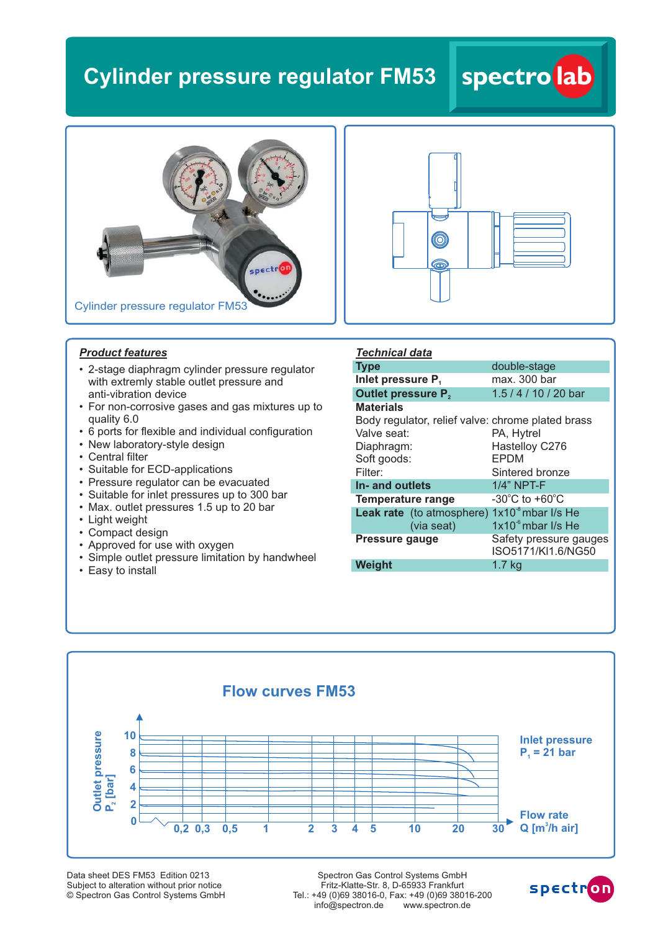## **Cylinder pressure regulator FM53**

# spectr Cylinder pressure regulator FM53



**spectro lab**

#### *Product features*

- 2-stage diaphragm cylinder pressure regulator with extremly stable outlet pressure and anti-vibration device
- For non-corrosive gases and gas mixtures up to quality 6.0
- 6 ports for flexible and individual configuration
- New laboratory-style design
- Central filter
- Suitable for ECD-applications
- Pressure regulator can be evacuated
- Suitable for inlet pressures up to 300 bar
- Max. outlet pressures 1.5 up to 20 bar
- Light weight
- Compact design
- Approved for use with oxygen
- Simple outlet pressure limitation by handwheel
- Easy to install

| <i><b>Technical data</b></i>                          |                                              |
|-------------------------------------------------------|----------------------------------------------|
| <b>Type</b>                                           | double-stage                                 |
| Inlet pressure P.                                     | max. 300 bar                                 |
| <b>Outlet pressure P,</b>                             | 1.5 / 4 / 10 / 20 bar                        |
| <b>Materials</b>                                      |                                              |
| Body regulator, relief valve: chrome plated brass     |                                              |
| Valve seat:                                           | PA, Hytrel                                   |
| Diaphragm:                                            | Hastelloy C276                               |
| Soft goods:                                           | <b>EPDM</b>                                  |
| Filter:                                               | Sintered bronze                              |
| In- and outlets                                       | 1/4" NPT-F                                   |
| Temperature range                                     | $-30^{\circ}$ C to $+60^{\circ}$ C           |
| <b>Leak rate</b> (to atmosphere) $1x10^3$ mbar I/s He |                                              |
| (via seat)                                            | $1x10-6$ mbar I/s He                         |
| Pressure gauge                                        | Safety pressure gauges<br>ISO5171/KI1.6/NG50 |
| Weight                                                | 1.7 <sub>kg</sub>                            |



Data sheet DES FM53 Edition 0213 Subject to alteration without prior notice © Spectron Gas Control Systems GmbH

Spectron Gas Control Systems GmbH Fritz-Klatte-Str. 8, D-65933 Frankfurt Tel.: +49 (0)69 38016-0, Fax: +49 (0)69 38016-200 info@spectron.de www.spectron.de